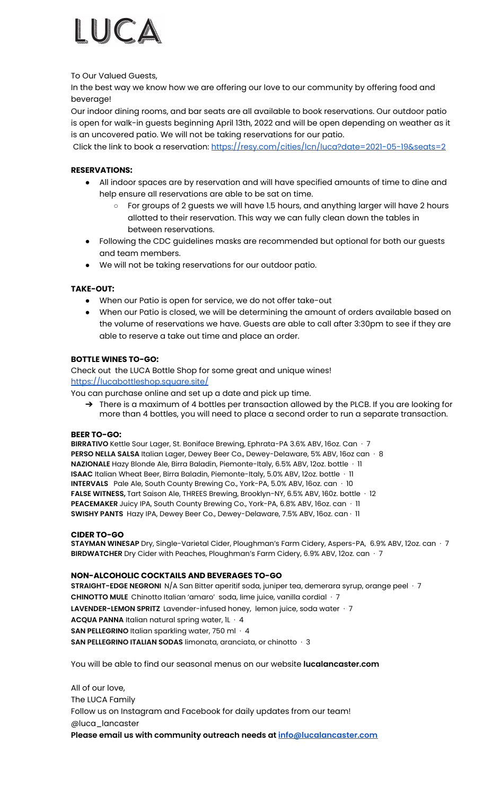

To Our Valued Guests,

In the best way we know how we are offering our love to our community by offering food and beverage!

Our indoor dining rooms, and bar seats are all available to book reservations. Our outdoor patio is open for walk-in guests beginning April 13th, 2022 and will be open depending on weather as it is an uncovered patio. We will not be taking reservations for our patio.

Click the link to book a reservation: <https://resy.com/cities/lcn/luca?date=2021-05-19&seats=2>

## **RESERVATIONS:**

- All indoor spaces are by reservation and will have specified amounts of time to dine and help ensure all reservations are able to be sat on time.
	- For groups of 2 guests we will have 1.5 hours, and anything larger will have 2 hours allotted to their reservation. This way we can fully clean down the tables in between reservations.
- Following the CDC guidelines masks are recommended but optional for both our guests and team members.
- We will not be taking reservations for our outdoor patio.

### **TAKE-OUT:**

- When our Patio is open for service, we do not offer take-out
- When our Patio is closed, we will be determining the amount of orders available based on the volume of reservations we have. Guests are able to call after 3:30pm to see if they are able to reserve a take out time and place an order.

### **BOTTLE WINES TO-GO:**

Check out the LUCA Bottle Shop for some great and unique wines! <https://lucabottleshop.square.site/>

You can purchase online and set up a date and pick up time.

→ There is a maximum of 4 bottles per transaction allowed by the PLCB. If you are looking for more than 4 bottles, you will need to place a second order to run a separate transaction.

#### **BEER TO-GO:**

**BIRRATIVO** Kettle Sour Lager, St. Boniface Brewing, Ephrata-PA 3.6% ABV, 16oz. Can · 7 **PERSO NELLA SALSA** Italian Lager, Dewey Beer Co., Dewey-Delaware, 5% ABV, 16oz can · 8 **NAZIONALE** Hazy Blonde Ale, Birra Baladin, Piemonte-Italy, 6.5% ABV, 12oz. bottle · 11 **ISAAC** Italian Wheat Beer, Birra Baladin, Piemonte-Italy, 5.0% ABV, 12oz. bottle · 11 **INTERVALS** Pale Ale, South County Brewing Co., York-PA, 5.0% ABV, 16oz. can · 10 **FALSE WITNESS,** Tart Saison Ale, THREES Brewing, Brooklyn-NY, 6.5% ABV, 160z. bottle · 12 **PEACEMAKER** Juicy IPA, South County Brewing Co., York-PA, 6.8% ABV, 16oz. can · 11 **SWISHY PANTS** Hazy IPA, Dewey Beer Co., Dewey-Delaware, 7.5% ABV, 16oz. can · 11

### **CIDER TO-GO**

**STAYMAN WINESAP** Dry, Single-Varietal Cider, Ploughman's Farm Cidery, Aspers-PA, 6.9% ABV, 12oz. can · 7 **BIRDWATCHER** Dry Cider with Peaches, Ploughman's Farm Cidery, 6.9% ABV, 12oz. can · 7

### **NON-ALCOHOLIC COCKTAILS AND BEVERAGES TO-GO**

**STRAIGHT-EDGE NEGRONI** N/A San Bitter aperitif soda, juniper tea, demerara syrup, orange peel · 7 **CHINOTTO MULE** Chinotto Italian 'amaro' soda, lime juice, vanilla cordial · 7 **LAVENDER-LEMON SPRITZ** Lavender-infused honey, lemon juice, soda water · 7 **ACQUA PANNA** Italian natural spring water, 1L · 4 **SAN PELLEGRINO** Italian sparkling water, 750 ml · 4 **SAN PELLEGRINO ITALIAN SODAS** limonata, aranciata, or chinotto · 3

You will be able to find our seasonal menus on our website **lucalancaster.com**

All of our love, The LUCA Family Follow us on Instagram and Facebook for daily updates from our team! @luca\_lancaster **Please email us with community outreach needs at [info@lucalancaster.com](mailto:info@lucalancaster.com)**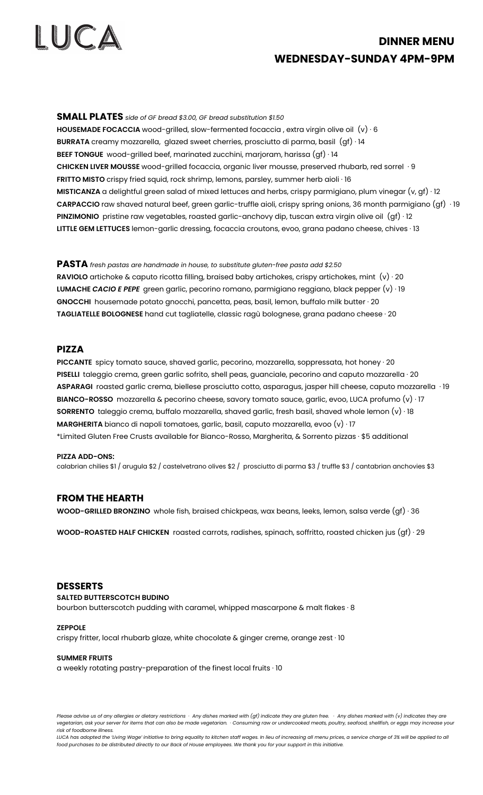

# **DINNER MENU WEDNESDAY-SUNDAY 4PM-9PM**

**SMALL PLATES** *side of GF bread \$3.00, GF bread substitution \$1.50* **HOUSEMADE FOCACCIA** wood-grilled, slow-fermented focaccia , extra virgin olive oil (v) · 6 **BURRATA** creamy mozzarella, glazed sweet cherries, prosciutto di parma, basil (gf) · 14 **BEEF TONGUE** wood-grilled beef, marinated zucchini, marjoram, harissa (gf) · 14 **CHICKEN LIVER MOUSSE** wood-grilled focaccia, organic liver mousse, preserved rhubarb, red sorrel · 9 **FRITTO MISTO** crispy fried squid, rock shrimp, lemons, parsley, summer herb aioli · 16 **MISTICANZA** a delightful green salad of mixed lettuces and herbs, crispy parmigiano, plum vinegar (v, gf) · 12 **CARPACCIO** raw shaved natural beef, green garlic-truffle aioli, crispy spring onions, 36 month parmigiano (gf) · 19 **PINZIMONIO** pristine raw vegetables, roasted garlic-anchovy dip, tuscan extra virgin olive oil (gf) · 12 **LITTLE GEM LETTUCES** lemon-garlic dressing, focaccia croutons, evoo, grana padano cheese, chives · 13

**PASTA** *fresh pastas are handmade in house, to substitute gluten-free pasta add \$2.50* **RAVIOLO** artichoke & caputo ricotta filling, braised baby artichokes, crispy artichokes, mint (v) · 20 **LUMACHE** *CACIO E PEPE* green garlic, pecorino romano, parmigiano reggiano, black pepper (v) · 19 **GNOCCHI** housemade potato gnocchi, pancetta, peas, basil, lemon, buffalo milk butter · 20 **TAGLIATELLE BOLOGNESE** hand cut tagliatelle, classic ragù bolognese, grana padano cheese · 20

#### **PIZZA**

**PICCANTE** spicy tomato sauce, shaved garlic, pecorino, mozzarella, soppressata, hot honey · 20 **PISELLI** taleggio crema, green garlic sofrito, shell peas, guanciale, pecorino and caputo mozzarella · 20 **ASPARAGI** roasted garlic crema, biellese prosciutto cotto, asparagus, jasper hill cheese, caputo mozzarella · 19 **BIANCO-ROSSO** mozzarella & pecorino cheese, savory tomato sauce, garlic, evoo, LUCA profumo (v) · 17 **SORRENTO** taleggio crema, buffalo mozzarella, shaved garlic, fresh basil, shaved whole lemon (v) · 18 **MARGHERITA** bianco di napoli tomatoes, garlic, basil, caputo mozzarella, evoo (v) · 17 \*Limited Gluten Free Crusts available for Bianco-Rosso, Margherita, & Sorrento pizzas · \$5 additional

#### **PIZZA ADD-ONS:**

calabrian chilies \$1 / arugula \$2 / castelvetrano olives \$2 / prosciutto di parma \$3 / truffle \$3 / cantabrian anchovies \$3

#### **FROM THE HEARTH**

**WOOD-GRILLED BRONZINO** whole fish, braised chickpeas, wax beans, leeks, lemon, salsa verde (gf) · 36

**WOOD-ROASTED HALF CHICKEN** roasted carrots, radishes, spinach, soffritto, roasted chicken jus (gf) · 29

#### **DESSERTS**

#### **SALTED BUTTERSCOTCH BUDINO**

bourbon butterscotch pudding with caramel, whipped mascarpone & malt flakes · 8

#### **ZEPPOLE**

crispy fritter, local rhubarb glaze, white chocolate & ginger creme, orange zest · 10

#### **SUMMER FRUITS**

a weekly rotating pastry-preparation of the finest local fruits · 10

Please advise us of any allergies or dietary restrictions · Any dishes marked with (gf) indicate they are gluten free. · Any dishes marked with (v) indicates they are vegetarian, ask your server for items that can also be made vegetarian. · Consuming raw or undercooked meats, poultry, seafood, shellfish, or eggs may increase your *risk of foodborne illness.*

LUCA has adopted the 'Living Wage' initiative to bring equality to kitchen staff wages. In lieu of increasing all menu prices, a service charge of 3% will be applied to all food purchases to be distributed directly to our Back of House employees. We thank you for your support in this initiative.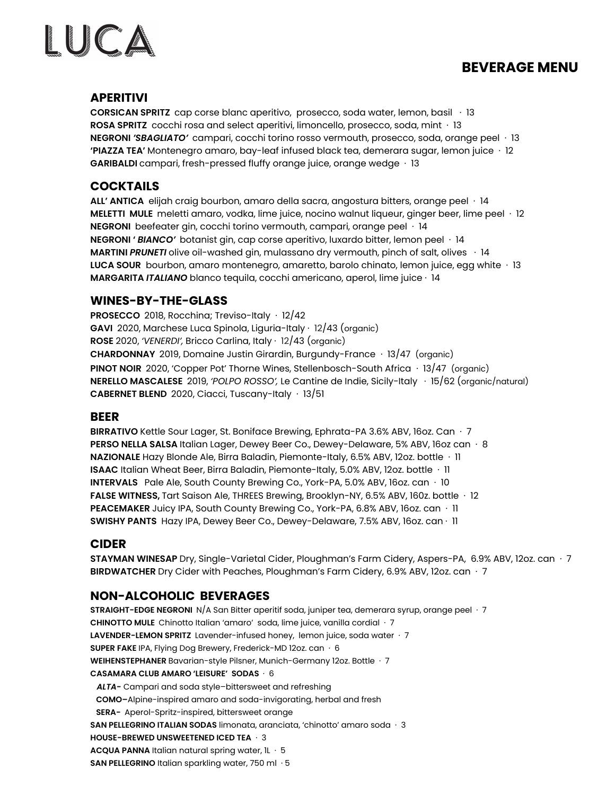# **BEVERAGE MENU**



## **APERITIVI**

**CORSICAN SPRITZ** cap corse blanc aperitivo, prosecco, soda water, lemon, basil · 13 **ROSA SPRITZ** cocchi rosa and select aperitivi, limoncello, prosecco, soda, mint · 13 **NEGRONI** *'SBAGLIATO'* campari, cocchi torino rosso vermouth, prosecco, soda, orange peel · 13 **'PIAZZA TEA'** Montenegro amaro, bay-leaf infused black tea, demerara sugar, lemon juice · 12 **GARIBALDI** campari, fresh-pressed fluffy orange juice, orange wedge · 13

#### **COCKTAILS**

**ALL' ANTICA** elijah craig bourbon, amaro della sacra, angostura bitters, orange peel · 14 **MELETTI MULE** meletti amaro, vodka, lime juice, nocino walnut liqueur, ginger beer, lime peel · 12 **NEGRONI** beefeater gin, cocchi torino vermouth, campari, orange peel · 14 **NEGRONI '** *BIANCO'* botanist gin, cap corse aperitivo, luxardo bitter, lemon peel · 14 **MARTINI** *PRUNETI* olive oil-washed gin, mulassano dry vermouth, pinch of salt, olives · 14 **LUCA SOUR** bourbon, amaro montenegro, amaretto, barolo chinato, lemon juice, egg white · 13 **MARGARITA** *ITALIANO* blanco tequila, cocchi americano, aperol, lime juice · 14

## **WINES-BY-THE-GLASS**

**PROSECCO** 2018, Rocchina; Treviso-Italy · 12/42 **GAVI** 2020, Marchese Luca Spinola, Liguria-Italy · 12/43 (organic) **ROSE** 2020, *'VENERDI',* Bricco Carlina, Italy · 12/43 (organic) **CHARDONNAY** 2019, Domaine Justin Girardin, Burgundy-France · 13/47 (organic) **PINOT NOIR** 2020, 'Copper Pot' Thorne Wines, Stellenbosch-South Africa · 13/47 (organic) **NERELLO MASCALESE** 2019, *'POLPO ROSSO',* Le Cantine de Indie, Sicily-Italy · 15/62 (organic/natural) **CABERNET BLEND** 2020, Ciacci, Tuscany-Italy · 13/51

#### **BEER**

**BIRRATIVO** Kettle Sour Lager, St. Boniface Brewing, Ephrata-PA 3.6% ABV, 16oz. Can · 7 **PERSO NELLA SALSA** Italian Lager, Dewey Beer Co., Dewey-Delaware, 5% ABV, 16oz can · 8 **NAZIONALE** Hazy Blonde Ale, Birra Baladin, Piemonte-Italy, 6.5% ABV, 12oz. bottle · 11 **ISAAC** Italian Wheat Beer, Birra Baladin, Piemonte-Italy, 5.0% ABV, 12oz. bottle · 11 **INTERVALS** Pale Ale, South County Brewing Co., York-PA, 5.0% ABV, 16oz. can · 10 **FALSE WITNESS,** Tart Saison Ale, THREES Brewing, Brooklyn-NY, 6.5% ABV, 160z. bottle · 12 **PEACEMAKER** Juicy IPA, South County Brewing Co., York-PA, 6.8% ABV, 16oz. can · 11 **SWISHY PANTS** Hazy IPA, Dewey Beer Co., Dewey-Delaware, 7.5% ABV, 16oz. can · 11

#### **CIDER**

**STAYMAN WINESAP** Dry, Single-Varietal Cider, Ploughman's Farm Cidery, Aspers-PA, 6.9% ABV, 12oz. can · 7 **BIRDWATCHER** Dry Cider with Peaches, Ploughman's Farm Cidery, 6.9% ABV, 12oz. can · 7

## **NON-ALCOHOLIC BEVERAGES**

**STRAIGHT-EDGE NEGRONI** N/A San Bitter aperitif soda, juniper tea, demerara syrup, orange peel · 7 **CHINOTTO MULE** Chinotto Italian 'amaro' soda, lime juice, vanilla cordial · 7 **LAVENDER-LEMON SPRITZ** Lavender-infused honey, lemon juice, soda water · 7 **SUPER FAKE** IPA, Flying Dog Brewery, Frederick-MD 12oz. can · 6 **WEIHENSTEPHANER** Bavarian-style Pilsner, Munich-Germany 12oz. Bottle · 7 **CASAMARA CLUB AMARO 'LEISURE' SODAS** · 6 *ALTA-* Campari and soda style–bittersweet and refreshing **COMO–**Alpine-inspired amaro and soda-invigorating, herbal and fresh **SERA-** Aperol-Spritz-inspired, bittersweet orange **SAN PELLEGRINO ITALIAN SODAS** limonata, aranciata, 'chinotto' amaro soda · 3 **HOUSE-BREWED UNSWEETENED ICED TEA** · 3 **ACQUA PANNA** Italian natural spring water, 1L · 5 **SAN PELLEGRINO** Italian sparkling water, 750 ml · 5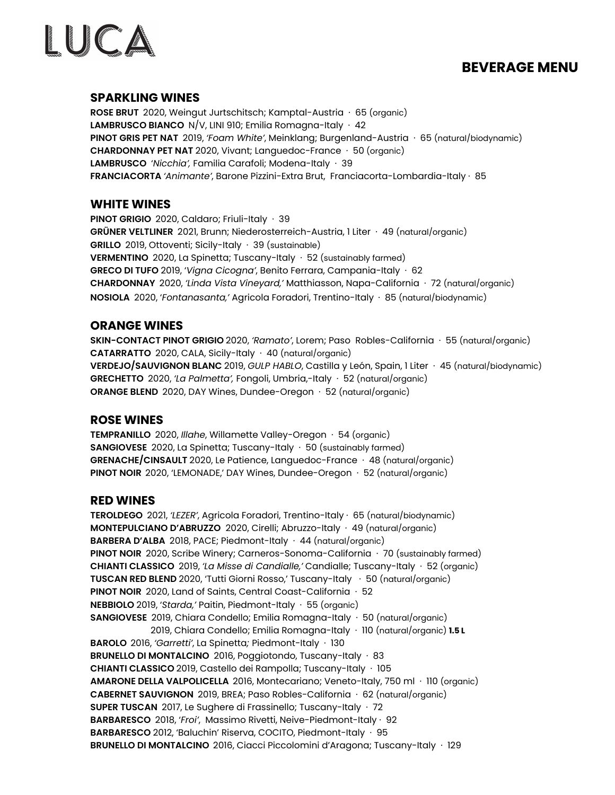## **BEVERAGE MENU**



## **SPARKLING WINES**

**ROSE BRUT** 2020, Weingut Jurtschitsch; Kamptal-Austria · 65 (organic) **LAMBRUSCO BIANCO** N/V, LINI 910; Emilia Romagna-Italy · 42 **PINOT GRIS PET NAT** 2019, *'Foam White'*, Meinklang; Burgenland-Austria · 65 (natural/biodynamic) **CHARDONNAY PET NAT** 2020, Vivant; Languedoc-France · 50 (organic) **LAMBRUSCO** '*Nicchia',* Familia Carafoli; Modena-Italy · 39 **FRANCIACORTA** *'Animante'*, Barone Pizzini-Extra Brut, Franciacorta-Lombardia-Italy · 85

## **WHITE WINES**

**PINOT GRIGIO** 2020, Caldaro; Friuli-Italy · 39 **GRÜNER VELTLINER** 2021, Brunn; Niederosterreich-Austria, 1 Liter · 49 (natural/organic) **GRILLO** 2019, Ottoventi; Sicily-Italy · 39 (sustainable) **VERMENTINO** 2020, La Spinetta; Tuscany-Italy · 52 (sustainably farmed) **GRECO DI TUFO** 2019, '*Vigna Cicogna'*, Benito Ferrara, Campania-Italy · 62 **CHARDONNAY** 2020, *'Linda Vista Vineyard,'* Matthiasson, Napa-California · 72 (natural/organic) **NOSIOLA** 2020, '*Fontanasanta,'* Agricola Foradori, Trentino-Italy · 85 (natural/biodynamic)

## **ORANGE WINES**

**SKIN-CONTACT PINOT GRIGIO** 2020, *'Ramato'*, Lorem; Paso Robles-California · 55 (natural/organic) **CATARRATTO** 2020, CALA, Sicily-Italy · 40 (natural/organic) **VERDEJO/SAUVIGNON BLANC** 2019, *GULP HABLO*, Castilla y León, Spain, 1 Liter · 45 (natural/biodynamic) **GRECHETTO** 2020, *'La Palmetta',* Fongoli, Umbria,-Italy · 52 (natural/organic) **ORANGE BLEND** 2020, DAY Wines, Dundee-Oregon · 52 (natural/organic)

## **ROSE WINES**

**TEMPRANILLO** 2020, *Illahe*, Willamette Valley-Oregon · 54 (organic) **SANGIOVESE** 2020, La Spinetta; Tuscany-Italy · 50 (sustainably farmed) **GRENACHE/CINSAULT** 2020, Le Patience, Languedoc-France · 48 (natural/organic) **PINOT NOIR** 2020, 'LEMONADE,' DAY Wines, Dundee-Oregon · 52 (natural/organic)

#### **RED WINES**

**TEROLDEGO** 2021, *'LEZER'*, Agricola Foradori, Trentino-Italy · 65 (natural/biodynamic) **MONTEPULCIANO D'ABRUZZO** 2020, Cirelli; Abruzzo-Italy · 49 (natural/organic) **BARBERA D'ALBA** 2018, PACE; Piedmont-Italy · 44 (natural/organic) **PINOT NOIR** 2020, Scribe Winery; Carneros-Sonoma-California · 70 (sustainably farmed) **CHIANTI CLASSICO** 2019, *'La Misse di Candialle,'* Candialle; Tuscany-Italy · 52 (organic) **TUSCAN RED BLEND** 2020, 'Tutti Giorni Rosso,' Tuscany-Italy · 50 (natural/organic) **PINOT NOIR** 2020, Land of Saints, Central Coast-California · 52 **NEBBIOLO** 2019, '*Starda,'* Paitin, Piedmont-Italy · 55 (organic) **SANGIOVESE** 2019, Chiara Condello; Emilia Romagna-Italy · 50 (natural/organic) 2019, Chiara Condello; Emilia Romagna-Italy · 110 (natural/organic) **1.5 L BAROLO** 2016, *'Garretti'*, La Spinetta*;* Piedmont-Italy · 130 **BRUNELLO DI MONTALCINO** 2016, Poggiotondo, Tuscany-Italy · 83 **CHIANTI CLASSICO** 2019, Castello dei Rampolla; Tuscany-Italy · 105 **AMARONE DELLA VALPOLICELLA** 2016, Montecariano; Veneto-Italy, 750 ml · 110 (organic) **CABERNET SAUVIGNON** 2019, BREA; Paso Robles-California · 62 (natural/organic) **SUPER TUSCAN** 2017, Le Sughere di Frassinello; Tuscany-Italy · 72 **BARBARESCO** 2018, '*Froi'*, Massimo Rivetti, Neive-Piedmont-Italy · 92 **BARBARESCO** 2012, 'Baluchin' Riserva, COCITO, Piedmont-Italy · 95 **BRUNELLO DI MONTALCINO** 2016, Ciacci Piccolomini d'Aragona; Tuscany-Italy · 129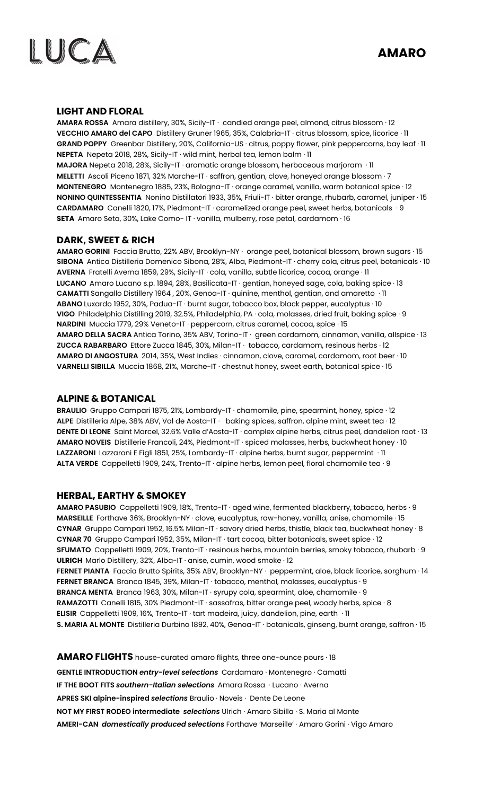



## **LIGHT AND FLORAL**

**AMARA ROSSA** Amara distillery, 30%, Sicily-IT · candied orange peel, almond, citrus blossom · 12 **VECCHIO AMARO del CAPO** Distillery Gruner 1965, 35%, Calabria-IT · citrus blossom, spice, licorice · 11 **GRAND POPPY** Greenbar Distillery, 20%, California-US · citrus, poppy flower, pink peppercorns, bay leaf · 11 **NEPETA** Nepeta 2018, 28%, Sicily-IT · wild mint, herbal tea, lemon balm · 11 **MAJORA** Nepeta 2018, 28%, Sicily-IT · aromatic orange blossom, herbaceous marjoram · 11 **MELETTI** Ascoli Piceno 1871, 32% Marche-IT · saffron, gentian, clove, honeyed orange blossom · 7 **MONTENEGRO** Montenegro 1885, 23%, Bologna-IT · orange caramel, vanilla, warm botanical spice · 12 **NONINO QUINTESSENTIA** Nonino Distillatori 1933, 35%, Friuli-IT · bitter orange, rhubarb, caramel, juniper · 15 **CARDAMARO** Canelli 1820, 17%, Piedmont-IT · caramelized orange peel, sweet herbs, botanicals · 9 **SETA** Amaro Seta, 30%, Lake Como- IT · vanilla, mulberry, rose petal, cardamom · 16

## **DARK, SWEET & RICH**

**AMARO GORINI** Faccia Brutto, 22% ABV, Brooklyn-NY · orange peel, botanical blossom, brown sugars · 15 **SIBONA** Antica Distilleria Domenico Sibona, 28%, Alba, Piedmont-IT · cherry cola, citrus peel, botanicals · 10 **AVERNA** Fratelli Averna 1859, 29%, Sicily-IT · cola, vanilla, subtle licorice, cocoa, orange · 11 **LUCANO** Amaro Lucano s.p. 1894, 28%, Basilicata-IT · gentian, honeyed sage, cola, baking spice · 13 **CAMATTI** Sangallo Distillery 1964 , 20%, Genoa-IT · quinine, menthol, gentian, and amaretto · 11 **ABANO** Luxardo 1952, 30%, Padua-IT · burnt sugar, tobacco box, black pepper, eucalyptus · 10 **VIGO** Philadelphia Distilling 2019, 32.5%, Philadelphia, PA · cola, molasses, dried fruit, baking spice · 9 **NARDINI** Muccia 1779, 29% Veneto-IT · peppercorn, citrus caramel, cocoa, spice · 15 **AMARO DELLA SACRA** Antica Torino, 35% ABV, Torino-IT · green cardamom, cinnamon, vanilla, allspice · 13 **ZUCCA RABARBARO** Ettore Zucca 1845, 30%, Milan-IT · tobacco, cardamom, resinous herbs · 12 **AMARO DI ANGOSTURA** 2014, 35%, West Indies · cinnamon, clove, caramel, cardamom, root beer · 10 **VARNELLI SIBILLA** Muccia 1868, 21%, Marche-IT · chestnut honey, sweet earth, botanical spice · 15

### **ALPINE & BOTANICAL**

**BRAULIO** Gruppo Campari 1875, 21%, Lombardy-IT · chamomile, pine, spearmint, honey, spice · 12 **ALPE** Distilleria Alpe, 38% ABV, Val de Aosta-IT · baking spices, saffron, alpine mint, sweet tea · 12 **DENTE DI LEONE** Saint Marcel, 32.6% Valle d'Aosta-IT · complex alpine herbs, citrus peel, dandelion root · 13 **AMARO NOVEIS** Distillerie Francoli, 24%, Piedmont-IT · spiced molasses, herbs, buckwheat honey · 10 **LAZZARONI** Lazzaroni E Figli 1851, 25%, Lombardy-IT · alpine herbs, burnt sugar, peppermint · 11 **ALTA VERDE** Cappelletti 1909, 24%, Trento-IT · alpine herbs, lemon peel, floral chamomile tea · 9

### **HERBAL, EARTHY & SMOKEY**

**AMARO PASUBIO** Cappelletti 1909, 18%, Trento-IT · aged wine, fermented blackberry, tobacco, herbs · 9 **MARSEILLE** Forthave 36%, Brooklyn-NY · clove, eucalyptus, raw-honey, vanilla, anise, chamomile · 15 **CYNAR** Gruppo Campari 1952, 16.5% Milan-IT · savory dried herbs, thistle, black tea, buckwheat honey · 8 **CYNAR 70** Gruppo Campari 1952, 35%, Milan-IT · tart cocoa, bitter botanicals, sweet spice · 12 **SFUMATO** Cappelletti 1909, 20%, Trento-IT · resinous herbs, mountain berries, smoky tobacco, rhubarb · 9 **ULRICH** Marlo Distillery, 32%, Alba-IT · anise, cumin, wood smoke · 12 **FERNET PIANTA** Faccia Brutto Spirits, 35% ABV, Brooklyn-NY · peppermint, aloe, black licorice, sorghum · 14 **FERNET BRANCA** Branca 1845, 39%, Milan-IT · tobacco, menthol, molasses, eucalyptus · 9 **BRANCA MENTA** Branca 1963, 30%, Milan-IT · syrupy cola, spearmint, aloe, chamomile · 9 **RAMAZOTTI** Canelli 1815, 30% Piedmont-IT · sassafras, bitter orange peel, woody herbs, spice · 8 **ELISIR** Cappelletti 1909, 16%, Trento-IT · tart madeira, juicy, dandelion, pine, earth · 11 **S. MARIA AL MONTE** Distilleria Durbino 1892, 40%, Genoa-IT · botanicals, ginseng, burnt orange, saffron · 15

**AMARO FLIGHTS** house-curated amaro flights, three one-ounce pours · 18 **GENTLE INTRODUCTION** *entry-level selections* Cardamaro · Montenegro · Camatti **IF THE BOOT FITS** *southern-Italian selections* Amara Rossa · Lucano · Averna **APRES SKI alpine-inspired** *selections* Braulio · Noveis · Dente De Leone **NOT MY FIRST RODEO intermediate** *selections* Ulrich · Amaro Sibilla · S. Maria al Monte **AMERI-CAN** *domestically produced selections* Forthave 'Marseille' · Amaro Gorini · Vigo Amaro